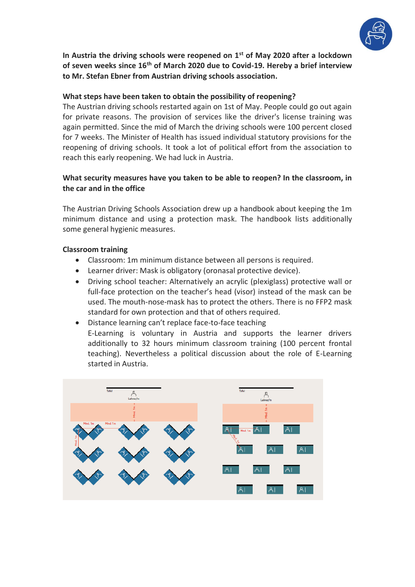

**In Austria the driving schools were reopened on 1st of May 2020 after a lockdown of seven weeks since 16th of March 2020 due to Covid-19. Hereby a brief interview to Mr. Stefan Ebner from Austrian driving schools association.**

# **What steps have been taken to obtain the possibility of reopening?**

The Austrian driving schools restarted again on 1st of May. People could go out again for private reasons. The provision of services like the driver's license training was again permitted. Since the mid of March the driving schools were 100 percent closed for 7 weeks. The Minister of Health has issued individual statutory provisions for the reopening of driving schools. It took a lot of political effort from the association to reach this early reopening. We had luck in Austria.

# **What security measures have you taken to be able to reopen? In the classroom, in the car and in the office**

The Austrian Driving Schools Association drew up a handbook about keeping the 1m minimum distance and using a protection mask. The handbook lists additionally some general hygienic measures.

### **Classroom training**

- Classroom: 1m minimum distance between all persons is required.
- Learner driver: Mask is obligatory (oronasal protective device).
- Driving school teacher: Alternatively an acrylic (plexiglass) protective wall or full-face protection on the teacher's head (visor) instead of the mask can be used. The mouth-nose-mask has to protect the others. There is no FFP2 mask standard for own protection and that of others required.
- Distance learning can't replace face-to-face teaching E-Learning is voluntary in Austria and supports the learner drivers additionally to 32 hours minimum classroom training (100 percent frontal teaching). Nevertheless a political discussion about the role of E-Learning started in Austria.

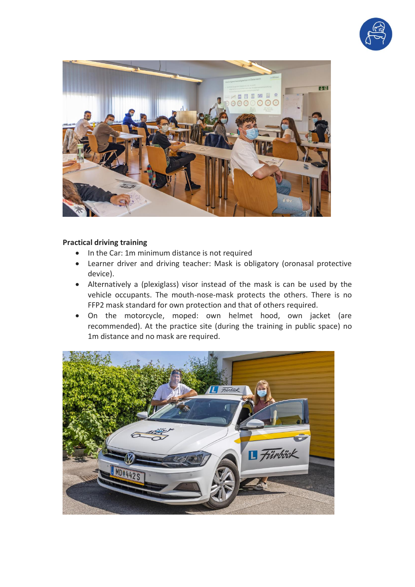



## **Practical driving training**

- In the Car: 1m minimum distance is not required
- Learner driver and driving teacher: Mask is obligatory (oronasal protective device).
- Alternatively a (plexiglass) visor instead of the mask is can be used by the vehicle occupants. The mouth-nose-mask protects the others. There is no FFP2 mask standard for own protection and that of others required.
- On the motorcycle, moped: own helmet hood, own jacket (are recommended). At the practice site (during the training in public space) no 1m distance and no mask are required.